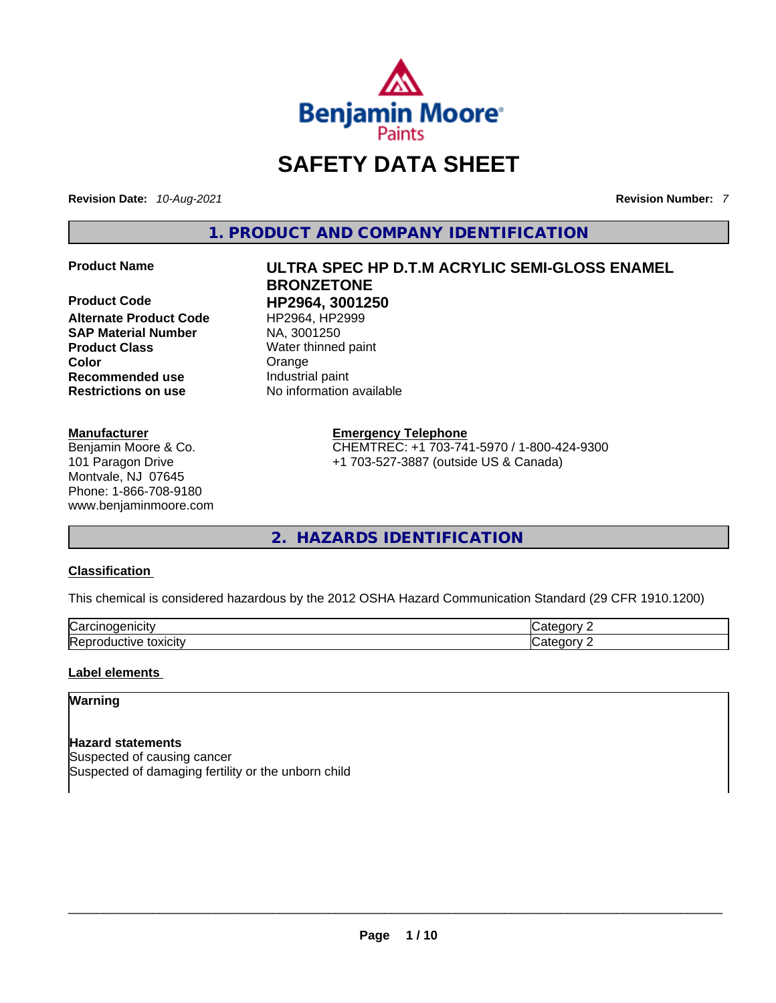

# **SAFETY DATA SHEET**

**Revision Date:** *10-Aug-2021* **Revision Number:** *7*

**1. PRODUCT AND COMPANY IDENTIFICATION** 

**Product Code HP2964, 3001250**  Alternate Product Code HP2964, HP2999 **SAP Material Number** NA, 3001250 **Product Class Water thinned paint**<br> **Color** Conservation Crange **Recommended use Restrictions on use** No information available

# **Manufacturer**

Benjamin Moore & Co. 101 Paragon Drive Montvale, NJ 07645 Phone: 1-866-708-9180 www.benjaminmoore.com

# **Product Name ULTRA SPEC HP D.T.M ACRYLIC SEMI-GLOSS ENAMEL BRONZETONE**

**Crange**<br>**Industrial** paint

# **Emergency Telephone**

CHEMTREC: +1 703-741-5970 / 1-800-424-9300 +1 703-527-3887 (outside US & Canada)

**2. HAZARDS IDENTIFICATION** 

# **Classification**

This chemical is considered hazardous by the 2012 OSHA Hazard Communication Standard (29 CFR 1910.1200)

| ∽<br>       |   |
|-------------|---|
| - --<br>. . | ш |

# **Label elements**

# **Warning**

**Hazard statements** Suspected of causing cancer Suspected of damaging fertility or the unborn child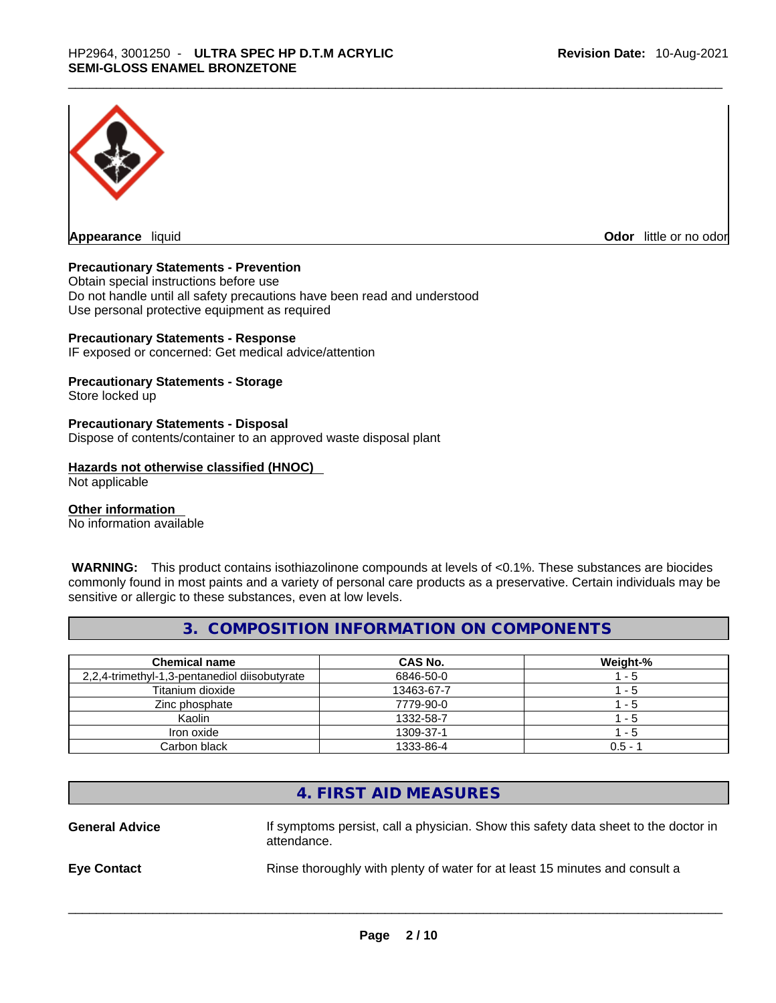

**Appearance** liquid **Odor 11** and **Odor 11** and **Odor 11** and **Odor 11** and **Odor 11** and **Odor** 11 and **Odor** 11 and **Odor** 11 and **Odor** 11 and **Odor** 11 and **Odor** 11 and **Odor** 11 and **Odor** 11 and **Odor** 11 and **Odor** 

# **Precautionary Statements - Prevention**

Obtain special instructions before use Do not handle until all safety precautions have been read and understood Use personal protective equipment as required

# **Precautionary Statements - Response**

IF exposed or concerned: Get medical advice/attention

# **Precautionary Statements - Storage**

Store locked up

# **Precautionary Statements - Disposal**

Dispose of contents/container to an approved waste disposal plant

# **Hazards not otherwise classified (HNOC)**

Not applicable

# **Other information**

No information available

 **WARNING:** This product contains isothiazolinone compounds at levels of <0.1%. These substances are biocides commonly found in most paints and a variety of personal care products as a preservative. Certain individuals may be sensitive or allergic to these substances, even at low levels.

# **3. COMPOSITION INFORMATION ON COMPONENTS**

| <b>Chemical name</b>                          | <b>CAS No.</b> | Weight-%  |
|-----------------------------------------------|----------------|-----------|
| 2,2,4-trimethyl-1,3-pentanediol diisobutyrate | 6846-50-0      | 1 - 5     |
| Titanium dioxide                              | 13463-67-7     | 1 - 5     |
| Zinc phosphate                                | 7779-90-0      | 1 - 5     |
| Kaolin                                        | 1332-58-7      | 1 - 5     |
| Iron oxide                                    | 1309-37-1      | 1 - 5     |
| Carbon black                                  | 1333-86-4      | $0.5 - ?$ |

# **4. FIRST AID MEASURES**

**General Advice** If symptoms persist, calla physician. Show this safety data sheet to the doctor in attendance. **Eye Contact Rinse thoroughly with plenty of water for at least 15 minutes and consult a**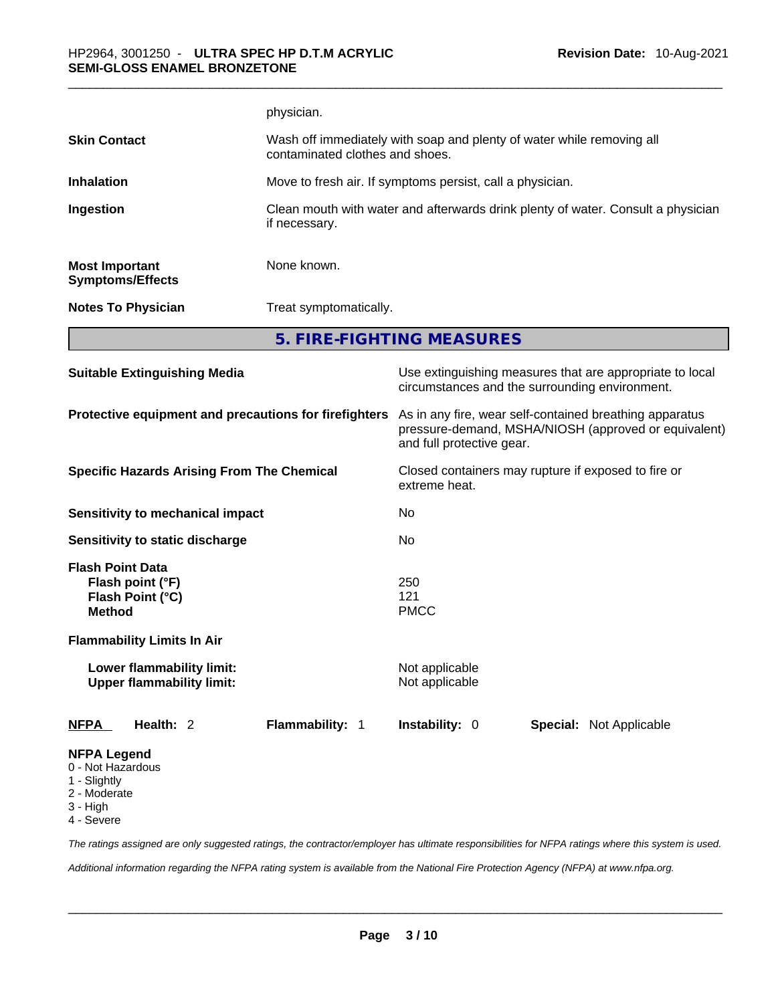|                                                                                  | physician.                                                                                               |                                                                                                                                              |                                |  |
|----------------------------------------------------------------------------------|----------------------------------------------------------------------------------------------------------|----------------------------------------------------------------------------------------------------------------------------------------------|--------------------------------|--|
| <b>Skin Contact</b>                                                              | Wash off immediately with soap and plenty of water while removing all<br>contaminated clothes and shoes. |                                                                                                                                              |                                |  |
| <b>Inhalation</b>                                                                |                                                                                                          | Move to fresh air. If symptoms persist, call a physician.                                                                                    |                                |  |
| Ingestion                                                                        | if necessary.                                                                                            | Clean mouth with water and afterwards drink plenty of water. Consult a physician                                                             |                                |  |
| <b>Most Important</b><br><b>Symptoms/Effects</b>                                 | None known.                                                                                              |                                                                                                                                              |                                |  |
| <b>Notes To Physician</b>                                                        |                                                                                                          | Treat symptomatically.                                                                                                                       |                                |  |
|                                                                                  |                                                                                                          | 5. FIRE-FIGHTING MEASURES                                                                                                                    |                                |  |
| <b>Suitable Extinguishing Media</b>                                              |                                                                                                          | Use extinguishing measures that are appropriate to local<br>circumstances and the surrounding environment.                                   |                                |  |
| Protective equipment and precautions for firefighters                            |                                                                                                          | As in any fire, wear self-contained breathing apparatus<br>pressure-demand, MSHA/NIOSH (approved or equivalent)<br>and full protective gear. |                                |  |
| <b>Specific Hazards Arising From The Chemical</b>                                |                                                                                                          | Closed containers may rupture if exposed to fire or<br>extreme heat.                                                                         |                                |  |
| <b>Sensitivity to mechanical impact</b>                                          |                                                                                                          | No                                                                                                                                           |                                |  |
| Sensitivity to static discharge                                                  |                                                                                                          | No.                                                                                                                                          |                                |  |
| <b>Flash Point Data</b><br>Flash point (°F)<br>Flash Point (°C)<br><b>Method</b> |                                                                                                          | 250<br>121<br><b>PMCC</b>                                                                                                                    |                                |  |
| <b>Flammability Limits In Air</b>                                                |                                                                                                          |                                                                                                                                              |                                |  |
| Lower flammability limit:<br><b>Upper flammability limit:</b>                    |                                                                                                          | Not applicable<br>Not applicable                                                                                                             |                                |  |
| Health: 2<br><b>NFPA</b>                                                         | Flammability: 1                                                                                          | Instability: 0                                                                                                                               | <b>Special: Not Applicable</b> |  |
| <b>NFPA Legend</b>                                                               |                                                                                                          |                                                                                                                                              |                                |  |

- 0 Not Hazardous
- 1 Slightly
- 2 Moderate
- 3 High
- 4 Severe

*The ratings assigned are only suggested ratings, the contractor/employer has ultimate responsibilities for NFPA ratings where this system is used.* 

*Additional information regarding the NFPA rating system is available from the National Fire Protection Agency (NFPA) at www.nfpa.org.*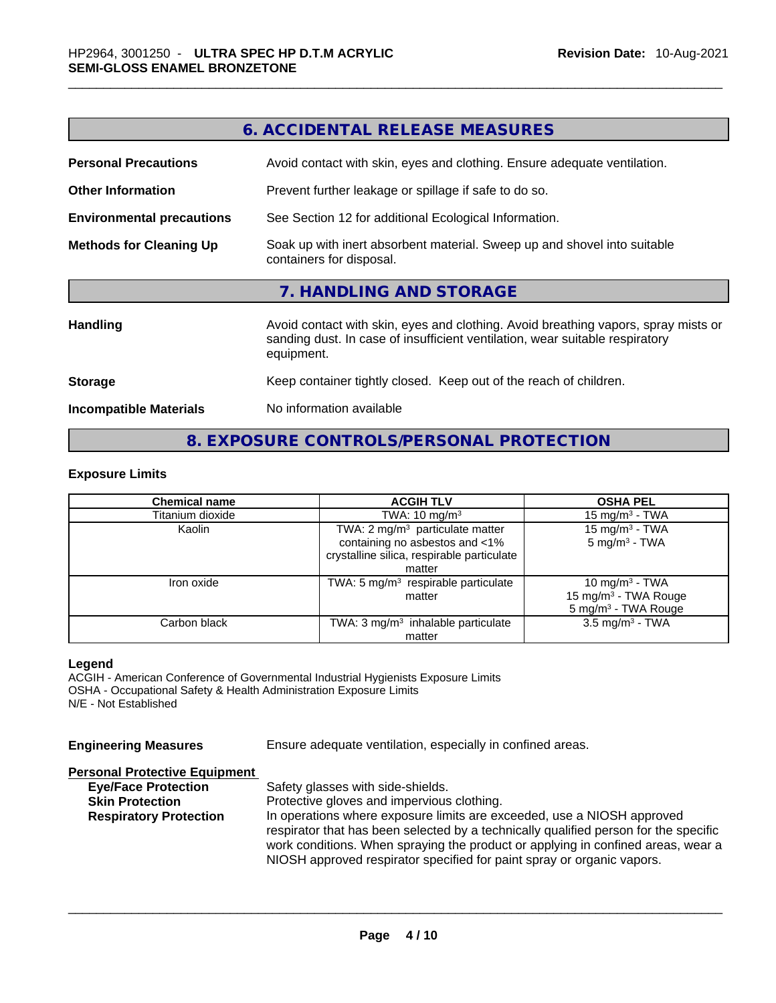|                                  | <b>6. ACCIDENTAL RELEASE MEASURES</b>                                                                                                                                            |
|----------------------------------|----------------------------------------------------------------------------------------------------------------------------------------------------------------------------------|
| <b>Personal Precautions</b>      | Avoid contact with skin, eyes and clothing. Ensure adequate ventilation.                                                                                                         |
| <b>Other Information</b>         | Prevent further leakage or spillage if safe to do so.                                                                                                                            |
| <b>Environmental precautions</b> | See Section 12 for additional Ecological Information.                                                                                                                            |
| <b>Methods for Cleaning Up</b>   | Soak up with inert absorbent material. Sweep up and shovel into suitable<br>containers for disposal.                                                                             |
|                                  | 7. HANDLING AND STORAGE                                                                                                                                                          |
| <b>Handling</b>                  | Avoid contact with skin, eyes and clothing. Avoid breathing vapors, spray mists or<br>sanding dust. In case of insufficient ventilation, wear suitable respiratory<br>equipment. |
| <b>Storage</b>                   | Keep container tightly closed. Keep out of the reach of children.                                                                                                                |
| <b>Incompatible Materials</b>    | No information available                                                                                                                                                         |

# **8. EXPOSURE CONTROLS/PERSONAL PROTECTION**

# **Exposure Limits**

| <b>Chemical name</b> | <b>ACGIH TLV</b>                              | <b>OSHA PEL</b>                  |
|----------------------|-----------------------------------------------|----------------------------------|
| Titanium dioxide     | TWA: $10 \text{ mg/m}^3$                      | 15 mg/m $3$ - TWA                |
| Kaolin               | TWA: 2 mg/m <sup>3</sup> particulate matter   | 15 mg/m $3$ - TWA                |
|                      | containing no asbestos and <1%                | $5 \text{ mg/m}^3$ - TWA         |
|                      | crystalline silica, respirable particulate    |                                  |
|                      | matter                                        |                                  |
| Iron oxide           | TWA: 5 $mg/m3$ respirable particulate         | 10 mg/m $3$ - TWA                |
|                      | matter                                        | 15 mg/m <sup>3</sup> - TWA Rouge |
|                      |                                               | 5 mg/m <sup>3</sup> - TWA Rouge  |
| Carbon black         | TWA: $3 \text{ mg/m}^3$ inhalable particulate | $3.5 \text{ mg/m}^3$ - TWA       |
|                      | matter                                        |                                  |

# **Legend**

ACGIH - American Conference of Governmental Industrial Hygienists Exposure Limits OSHA - Occupational Safety & Health Administration Exposure Limits N/E - Not Established

**Engineering Measures** Ensure adequate ventilation, especially in confined areas.

# **Personal Protective Equipment**

| <b>Eye/Face Protection</b>    | Safety glasses with side-shields.                                                                                                                                                                                                                  |
|-------------------------------|----------------------------------------------------------------------------------------------------------------------------------------------------------------------------------------------------------------------------------------------------|
| <b>Skin Protection</b>        | Protective gloves and impervious clothing.                                                                                                                                                                                                         |
| <b>Respiratory Protection</b> | In operations where exposure limits are exceeded, use a NIOSH approved                                                                                                                                                                             |
|                               | respirator that has been selected by a technically qualified person for the specific<br>work conditions. When spraying the product or applying in confined areas, wear a<br>NIOSH approved respirator specified for paint spray or organic vapors. |
|                               |                                                                                                                                                                                                                                                    |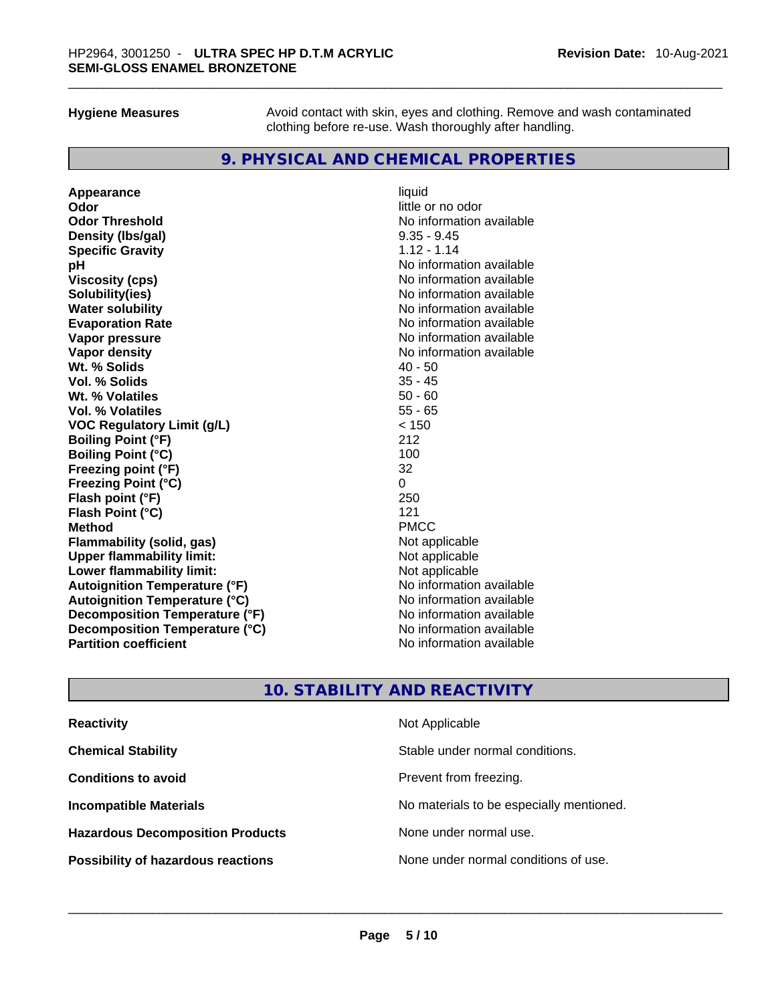**Hygiene Measures** Avoid contact with skin, eyes and clothing. Remove and wash contaminated clothing before re-use. Wash thoroughly after handling.

# **9. PHYSICAL AND CHEMICAL PROPERTIES**

**Appearance** liquid **Odor little or no odor Odor Threshold** No information available **Density (lbs/gal)** 9.35 - 9.45 **Specific Gravity** 1.12 - 1.14 **pH**<br>
Viscosity (cps) The Contract of the Contract of the Viscosity (cps) and Viscosity (cps) **Solubility(ies)**<br> **No information available**<br> **Water solubility**<br> **Water solubility Evaporation Rate No information available No information available Vapor pressure**  No information available **No information** available **Vapor density No information available No information available Wt. % Solids** 40 - 50 **Vol. % Solids** 35 - 45 **Wt. % Volatiles Vol. % Volatiles** 55 - 65 **VOC Regulatory Limit (g/L)** < 150 **Boiling Point (°F) Boiling Point (°C)** 100 **Freezing point (°F)** 32 **Freezing Point (°C) Flash point (°F)** 250 **Flash Point (°C)** 121 **Method** PMCC **Flammability (solid, gas)** Not applicable **Upper flammability limit:**<br> **Lower flammability limit:** Not applicable Not applicable **Lower flammability limit: Autoignition Temperature (°F)**<br> **Autoignition Temperature (°C)** No information available **Autoignition Temperature (°C)**<br> **Decomposition Temperature (°F)** No information available **Decomposition Temperature (°F) Decomposition Temperature (°C)** No information available **Partition coefficient** No information available

**Viscosity (cps)** No information available **No information available** 

# **10. STABILITY AND REACTIVITY**

| <b>Reactivity</b>                       | Not Applicable                           |
|-----------------------------------------|------------------------------------------|
| <b>Chemical Stability</b>               | Stable under normal conditions.          |
| <b>Conditions to avoid</b>              | Prevent from freezing.                   |
| <b>Incompatible Materials</b>           | No materials to be especially mentioned. |
| <b>Hazardous Decomposition Products</b> | None under normal use.                   |
| Possibility of hazardous reactions      | None under normal conditions of use.     |
|                                         |                                          |
|                                         |                                          |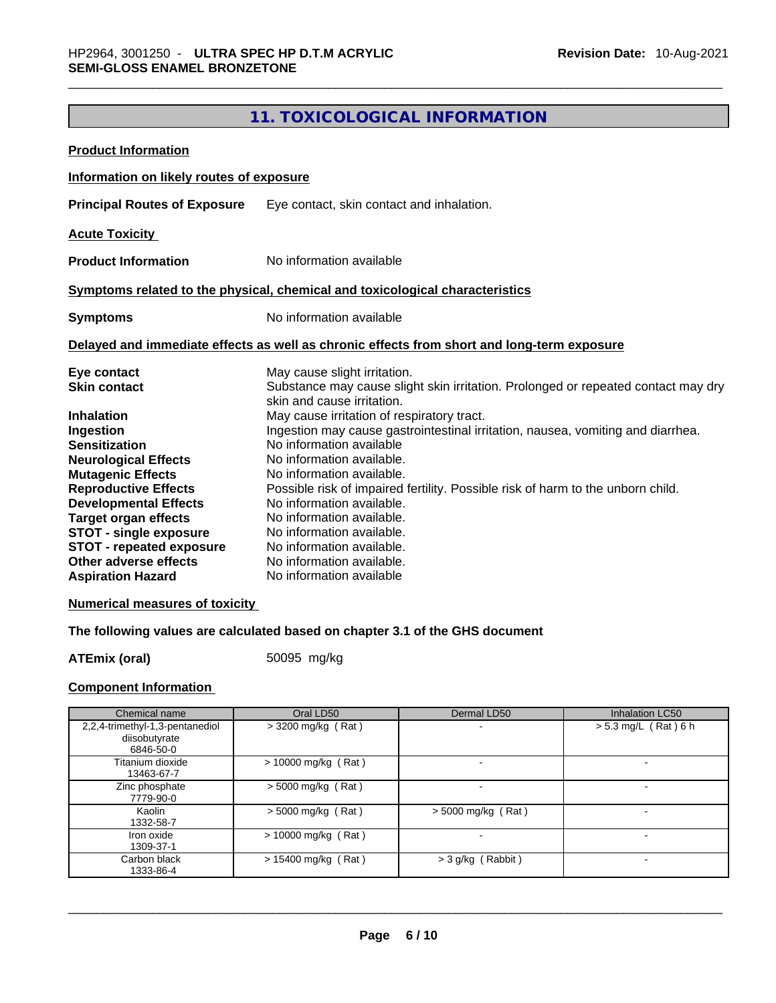# **11. TOXICOLOGICAL INFORMATION**

| <b>Product Information</b>                                                                                                                                                                                                                                                                                   |                                                                                                                                                                                                                                                                                                                                                                                                                                                         |
|--------------------------------------------------------------------------------------------------------------------------------------------------------------------------------------------------------------------------------------------------------------------------------------------------------------|---------------------------------------------------------------------------------------------------------------------------------------------------------------------------------------------------------------------------------------------------------------------------------------------------------------------------------------------------------------------------------------------------------------------------------------------------------|
| Information on likely routes of exposure                                                                                                                                                                                                                                                                     |                                                                                                                                                                                                                                                                                                                                                                                                                                                         |
| <b>Principal Routes of Exposure</b>                                                                                                                                                                                                                                                                          | Eye contact, skin contact and inhalation.                                                                                                                                                                                                                                                                                                                                                                                                               |
| <b>Acute Toxicity</b>                                                                                                                                                                                                                                                                                        |                                                                                                                                                                                                                                                                                                                                                                                                                                                         |
| <b>Product Information</b>                                                                                                                                                                                                                                                                                   | No information available                                                                                                                                                                                                                                                                                                                                                                                                                                |
|                                                                                                                                                                                                                                                                                                              | Symptoms related to the physical, chemical and toxicological characteristics                                                                                                                                                                                                                                                                                                                                                                            |
| <b>Symptoms</b>                                                                                                                                                                                                                                                                                              | No information available                                                                                                                                                                                                                                                                                                                                                                                                                                |
|                                                                                                                                                                                                                                                                                                              | Delayed and immediate effects as well as chronic effects from short and long-term exposure                                                                                                                                                                                                                                                                                                                                                              |
| Eye contact<br><b>Skin contact</b>                                                                                                                                                                                                                                                                           | May cause slight irritation.<br>Substance may cause slight skin irritation. Prolonged or repeated contact may dry<br>skin and cause irritation.                                                                                                                                                                                                                                                                                                         |
| <b>Inhalation</b><br>Ingestion<br><b>Sensitization</b><br><b>Neurological Effects</b><br><b>Mutagenic Effects</b><br><b>Reproductive Effects</b><br><b>Developmental Effects</b><br><b>Target organ effects</b><br><b>STOT - single exposure</b><br><b>STOT - repeated exposure</b><br>Other adverse effects | May cause irritation of respiratory tract.<br>Ingestion may cause gastrointestinal irritation, nausea, vomiting and diarrhea.<br>No information available<br>No information available.<br>No information available.<br>Possible risk of impaired fertility. Possible risk of harm to the unborn child.<br>No information available.<br>No information available.<br>No information available.<br>No information available.<br>No information available. |
| <b>Aspiration Hazard</b>                                                                                                                                                                                                                                                                                     | No information available                                                                                                                                                                                                                                                                                                                                                                                                                                |

# **Numerical measures of toxicity**

# **The following values are calculated based on chapter 3.1 of the GHS document**

**ATEmix (oral)** 50095 mg/kg

# **Component Information**

| Chemical name                                                 | Oral LD50             | Dermal LD50        | <b>Inhalation LC50</b>   |
|---------------------------------------------------------------|-----------------------|--------------------|--------------------------|
| 2,2,4-trimethyl-1,3-pentanediol<br>diisobutyrate<br>6846-50-0 | $>$ 3200 mg/kg (Rat)  |                    | $> 5.3$ mg/L (Rat) 6 h   |
| Titanium dioxide<br>13463-67-7                                | $> 10000$ mg/kg (Rat) |                    |                          |
| Zinc phosphate<br>7779-90-0                                   | $>$ 5000 mg/kg (Rat)  |                    |                          |
| Kaolin<br>1332-58-7                                           | $>$ 5000 mg/kg (Rat)  | > 5000 mg/kg (Rat) | $\overline{\phantom{0}}$ |
| Iron oxide<br>1309-37-1                                       | $> 10000$ mg/kg (Rat) |                    |                          |
| Carbon black<br>1333-86-4                                     | $> 15400$ mg/kg (Rat) | > 3 g/kg (Rabbit)  | $\overline{\phantom{0}}$ |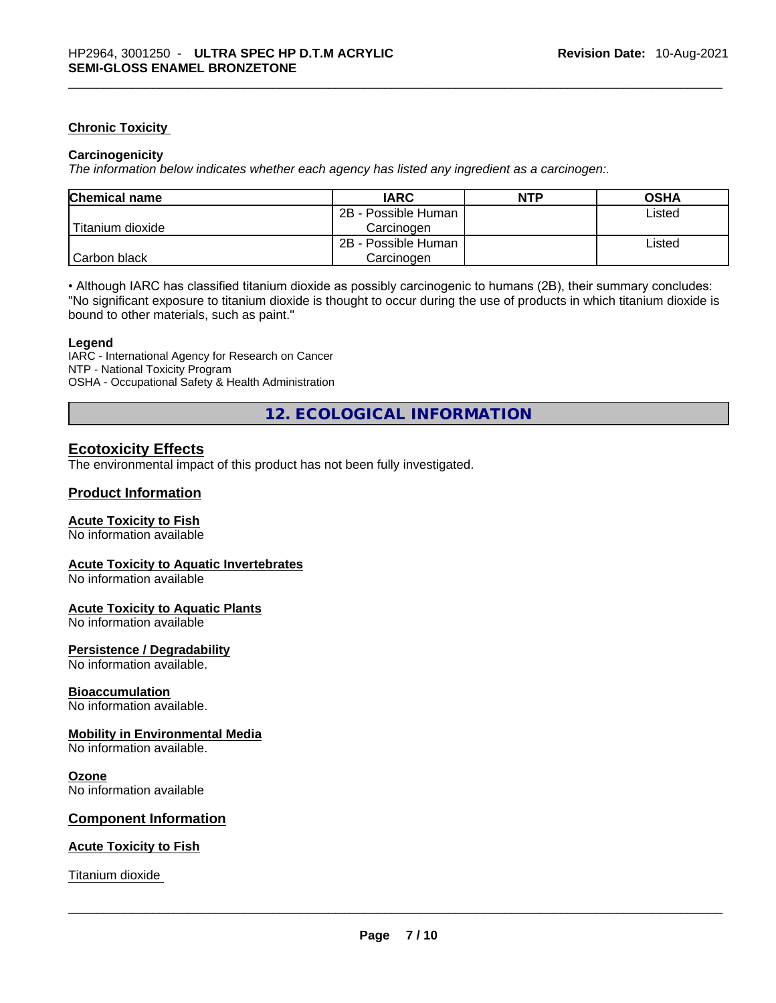# **Chronic Toxicity**

# **Carcinogenicity**

*The information below indicates whether each agency has listed any ingredient as a carcinogen:.* 

| <b>Chemical name</b> | <b>IARC</b>         | <b>NTP</b> | <b>OSHA</b> |
|----------------------|---------------------|------------|-------------|
|                      | 2B - Possible Human |            | Listed      |
| l Titanium dioxide   | Carcinogen          |            |             |
|                      | 2B - Possible Human |            | Listed      |
| l Carbon black       | Carcinogen          |            |             |

• Although IARC has classified titanium dioxide as possibly carcinogenic to humans (2B), their summary concludes: "No significant exposure to titanium dioxide is thought to occur during the use of products in which titanium dioxide is bound to other materials, such as paint."

# **Legend**

IARC - International Agency for Research on Cancer NTP - National Toxicity Program OSHA - Occupational Safety & Health Administration

**12. ECOLOGICAL INFORMATION** 

# **Ecotoxicity Effects**

The environmental impact of this product has not been fully investigated.

# **Product Information**

# **Acute Toxicity to Fish**

No information available

# **Acute Toxicity to Aquatic Invertebrates**

No information available

# **Acute Toxicity to Aquatic Plants**

No information available

# **Persistence / Degradability**

No information available.

# **Bioaccumulation**

No information available.

# **Mobility in Environmental Media**

No information available.

# **Ozone**

No information available

# **Component Information**

# **Acute Toxicity to Fish**

Titanium dioxide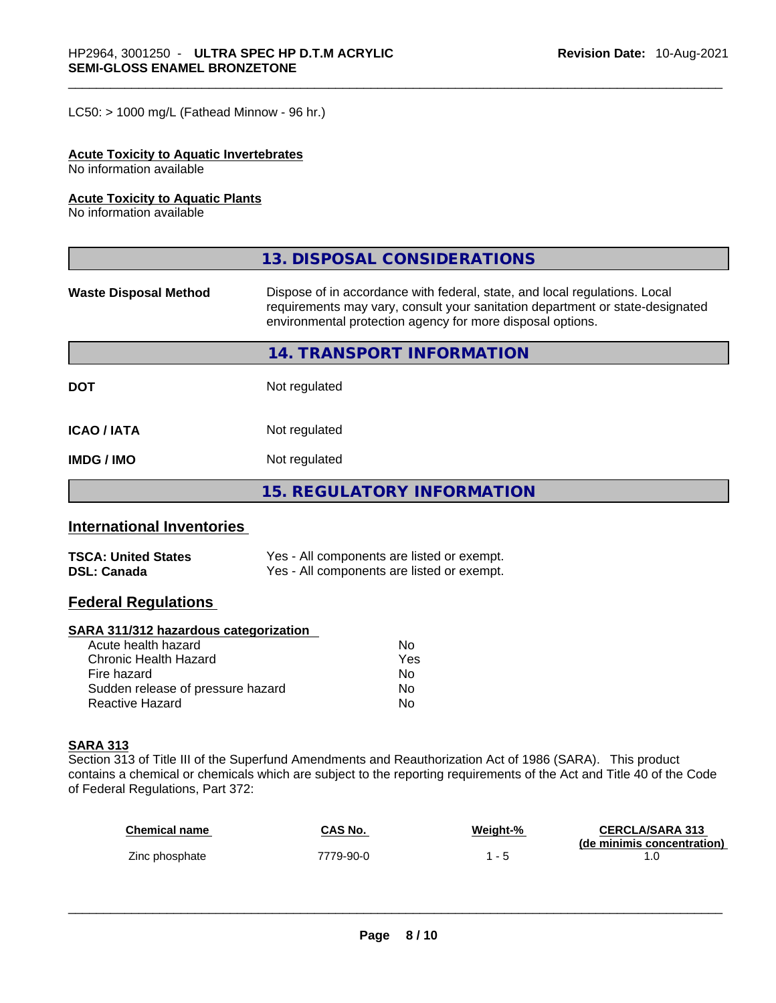$LC50:$  > 1000 mg/L (Fathead Minnow - 96 hr.)

# **Acute Toxicity to Aquatic Invertebrates**

No information available

# **Acute Toxicity to Aquatic Plants**

No information available

|                              | 13. DISPOSAL CONSIDERATIONS                                                                                                                                                                                               |
|------------------------------|---------------------------------------------------------------------------------------------------------------------------------------------------------------------------------------------------------------------------|
| <b>Waste Disposal Method</b> | Dispose of in accordance with federal, state, and local regulations. Local<br>requirements may vary, consult your sanitation department or state-designated<br>environmental protection agency for more disposal options. |
|                              | 14. TRANSPORT INFORMATION                                                                                                                                                                                                 |
| <b>DOT</b>                   | Not regulated                                                                                                                                                                                                             |
| <b>ICAO/IATA</b>             | Not regulated                                                                                                                                                                                                             |
| <b>IMDG/IMO</b>              | Not regulated                                                                                                                                                                                                             |
|                              | 15. REGULATORY INFORMATION                                                                                                                                                                                                |

# **International Inventories**

| <b>TSCA: United States</b> | Yes - All components are listed or exempt. |
|----------------------------|--------------------------------------------|
| <b>DSL: Canada</b>         | Yes - All components are listed or exempt. |

# **Federal Regulations**

# **SARA 311/312 hazardous categorization**

| No  |
|-----|
| Yes |
| No. |
| Nο  |
| Nο  |
|     |

# **SARA 313**

Section 313 of Title III of the Superfund Amendments and Reauthorization Act of 1986 (SARA). This product contains a chemical or chemicals which are subject to the reporting requirements of the Act and Title 40 of the Code of Federal Regulations, Part 372:

| <b>Chemical name</b> | CAS No.   | Weight-% | <b>CERCLA/SARA 313</b><br>(de minimis concentration) |
|----------------------|-----------|----------|------------------------------------------------------|
| Zinc phosphate       | 7779-90-0 | - 5      |                                                      |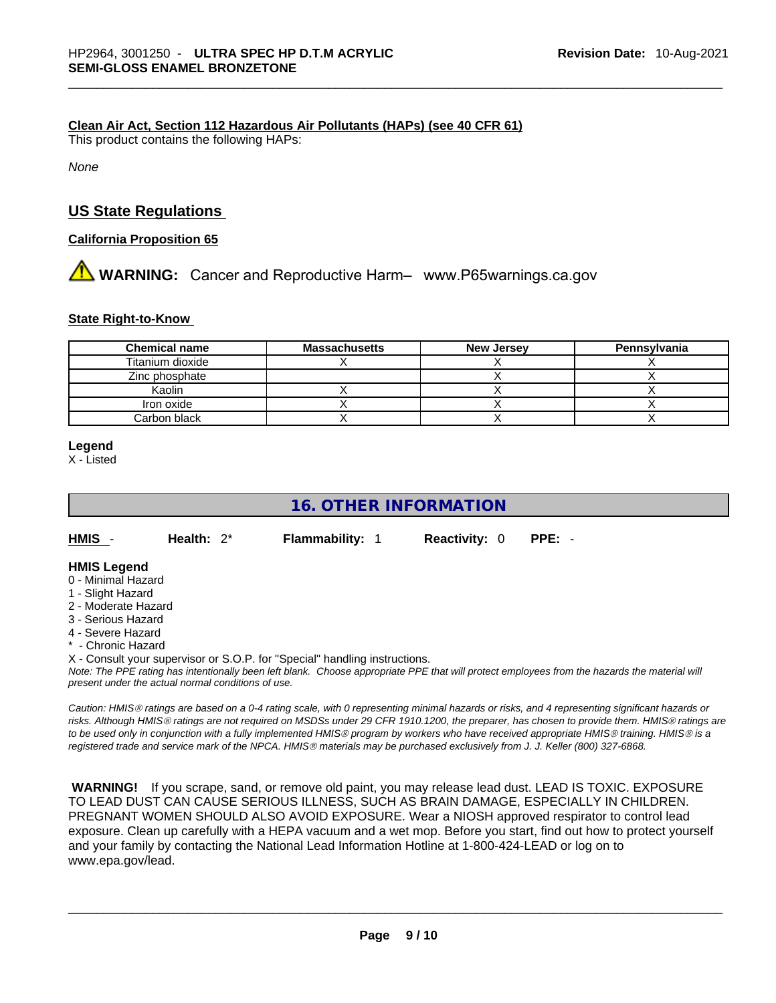# **Clean Air Act,Section 112 Hazardous Air Pollutants (HAPs) (see 40 CFR 61)**

This product contains the following HAPs:

*None*

# **US State Regulations**

# **California Proposition 65**

# **AVIMING:** Cancer and Reproductive Harm– www.P65warnings.ca.gov

# **State Right-to-Know**

| <b>Chemical name</b> | <b>Massachusetts</b> | <b>New Jersey</b> | Pennsylvania |
|----------------------|----------------------|-------------------|--------------|
| Titanium dioxide     |                      |                   |              |
| Zinc phosphate       |                      |                   |              |
| Kaolin               |                      |                   |              |
| Iron oxide           |                      |                   |              |
| Carbon black         |                      |                   |              |

# **Legend**

X - Listed

# **16. OTHER INFORMATION**

**HMIS** - **Health:** 2\* **Flammability:** 1 **Reactivity:** 0 **PPE:** -

### **HMIS Legend**

- 0 Minimal Hazard
- 1 Slight Hazard
- 2 Moderate Hazard
- 3 Serious Hazard
- 4 Severe Hazard
- \* Chronic Hazard
- X Consult your supervisor or S.O.P. for "Special" handling instructions.

Note: The PPE rating has intentionally been left blank. Choose appropriate PPE that will protect employees from the hazards the material will *present under the actual normal conditions of use.* 

*Caution: HMISÒ ratings are based on a 0-4 rating scale, with 0 representing minimal hazards or risks, and 4 representing significant hazards or risks. Although HMISÒ ratings are not required on MSDSs under 29 CFR 1910.1200, the preparer, has chosen to provide them. HMISÒ ratings are to be used only in conjunction with a fully implemented HMISÒ program by workers who have received appropriate HMISÒ training. HMISÒ is a registered trade and service mark of the NPCA. HMISÒ materials may be purchased exclusively from J. J. Keller (800) 327-6868.* 

 **WARNING!** If you scrape, sand, or remove old paint, you may release lead dust. LEAD IS TOXIC. EXPOSURE TO LEAD DUST CAN CAUSE SERIOUS ILLNESS, SUCH AS BRAIN DAMAGE, ESPECIALLY IN CHILDREN. PREGNANT WOMEN SHOULD ALSO AVOID EXPOSURE.Wear a NIOSH approved respirator to control lead exposure. Clean up carefully with a HEPA vacuum and a wet mop. Before you start, find out how to protect yourself and your family by contacting the National Lead Information Hotline at 1-800-424-LEAD or log on to www.epa.gov/lead.